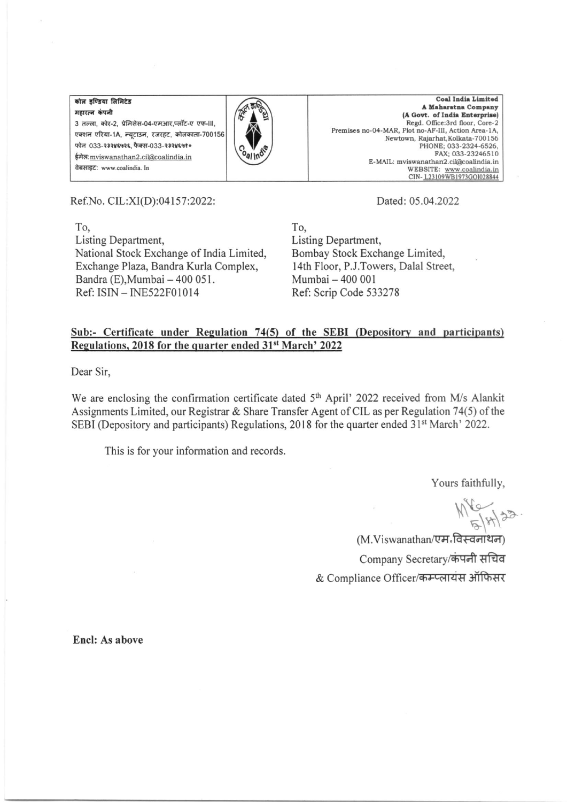कोल इण्डिया लिमिटेड महारत्न कंपनी 3 तल्ला, कोर-2, प्रेमिसेस-04-एमआर,प्लॉट-ए एफ-III, एक्शन एरिया-1A, न्यटाउन, रजरहट, कोलकाता-700156 फोन 033-२३२४६५२६ फैक्स-033-२३२४६५१० ईमेल: mviswanathan2.cil@coalindia.in वेबसाइट: www.coalindia. In



Coal India Limited A Maharatna Company (A Govt. of India Enterprise) Regd. Office:3rd floor, Core-2 Premises no-04-MAR, Plot no-AF-III, Action Area-1A, Newtown, Rajarhat, Kolkata-700156 PHONE; 033-2324-6526,<br>FAX: 033-2324-6510 E-MAIL: mviswanathan2.cil@coalindia.in WEBSITE: www.coalindia.in CIN-L23109WB1973GOI028844

Ref.No. CIL:XI(D):04157:2022:

 $To.$ Listing Department, National Stock Exchange of India Limited, Exchange Plaza, Bandra Kurla Complex, Bandra (E), Mumbai - 400 051. Ref: ISIN - INE522F01014

Dated: 05.04.2022

To. Listing Department, Bombay Stock Exchange Limited, 14th Floor, P.J.Towers, Dalal Street, Mumbai - 400 001 Ref: Scrip Code 533278

## Sub:- Certificate under Regulation 74(5) of the SEBI (Depository and participants) Regulations, 2018 for the quarter ended 31<sup>st</sup> March' 2022

Dear Sir.

We are enclosing the confirmation certificate dated 5<sup>th</sup> April' 2022 received from M/s Alankit Assignments Limited, our Registrar & Share Transfer Agent of CIL as per Regulation 74(5) of the SEBI (Depository and participants) Regulations, 2018 for the quarter ended 31<sup>st</sup> March' 2022.

This is for your information and records.

Yours faithfully,

 $M_{514}^{18}$ 

(M.Viswanathan/एम-विस्वनाथन) Company Secretary/कंपनी सचिव & Compliance Officer/कम्प्लायंस ऑफिसर

Encl: As above